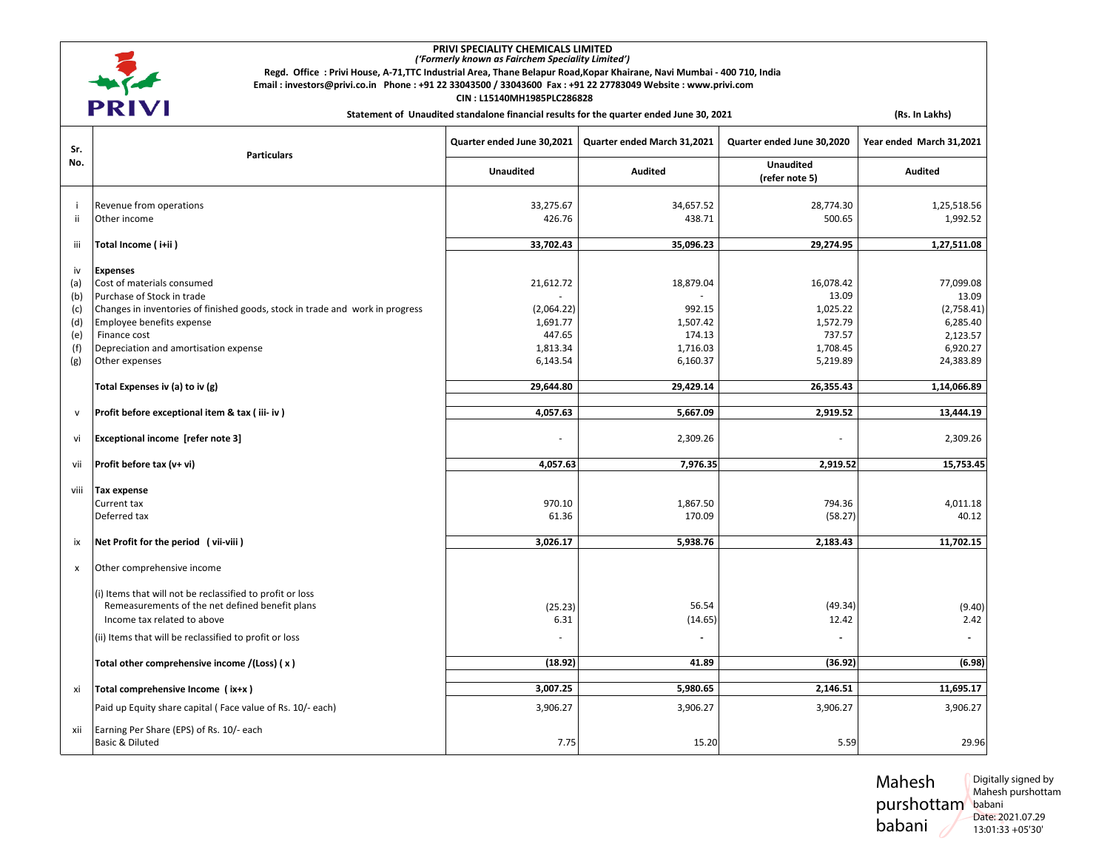

## **PRIVI SPECIALITY CHEMICALS LIMITED**  *('Formerly known as Fairchem Speciality Limited')*

**Regd. Office : Privi House, A-71,TTC Industrial Area, Thane Belapur Road,Kopar Khairane, Navi Mumbai - 400 710, India** 

 **CIN : L15140MH1985PLC286828** 

Statement of Unaudited standalone financial results for the quarter ended June 30, 2021 (Rs. In Lakhs)

| Sr.<br>No. | <b>Particulars</b>                                                                                           | Quarter ended June 30,2021 | Quarter ended March 31,2021 | Quarter ended June 30,2020         | Year ended March 31,2021 |
|------------|--------------------------------------------------------------------------------------------------------------|----------------------------|-----------------------------|------------------------------------|--------------------------|
|            |                                                                                                              | <b>Unaudited</b>           | <b>Audited</b>              | <b>Unaudited</b><br>(refer note 5) | <b>Audited</b>           |
| ÷          | Revenue from operations                                                                                      | 33,275.67                  | 34,657.52                   | 28,774.30                          | 1,25,518.56              |
| ii.        | Other income                                                                                                 | 426.76                     | 438.71                      | 500.65                             | 1,992.52                 |
| iii        | Total Income (i+ii)                                                                                          | 33,702.43                  | 35,096.23                   | 29,274.95                          | 1,27,511.08              |
| iv         | <b>Expenses</b>                                                                                              |                            |                             |                                    |                          |
| (a)<br>(b) | Cost of materials consumed<br>Purchase of Stock in trade                                                     | 21,612.72                  | 18,879.04                   | 16,078.42<br>13.09                 | 77,099.08<br>13.09       |
| (c)        | Changes in inventories of finished goods, stock in trade and work in progress                                | (2,064.22)                 | 992.15                      | 1,025.22                           | (2,758.41)               |
| (d)<br>(e) | Employee benefits expense<br>Finance cost                                                                    | 1,691.77<br>447.65         | 1,507.42<br>174.13          | 1,572.79<br>737.57                 | 6,285.40<br>2,123.57     |
| (f)        | Depreciation and amortisation expense                                                                        | 1,813.34                   | 1,716.03                    | 1,708.45                           | 6,920.27                 |
| (g)        | Other expenses                                                                                               | 6,143.54                   | 6,160.37                    | 5,219.89                           | 24,383.89                |
|            | Total Expenses iv (a) to iv (g)                                                                              | 29,644.80                  | 29,429.14                   | 26,355.43                          | 1,14,066.89              |
| v          | Profit before exceptional item & tax (iii-iv)                                                                | 4,057.63                   | 5,667.09                    | 2,919.52                           | 13,444.19                |
| vi         | Exceptional income [refer note 3]                                                                            |                            | 2,309.26                    |                                    | 2,309.26                 |
| vii        | Profit before tax (v+ vi)                                                                                    | 4,057.63                   | 7,976.35                    | 2,919.52                           | 15,753.45                |
| viii       | <b>Tax expense</b>                                                                                           |                            |                             |                                    |                          |
|            | Current tax<br>Deferred tax                                                                                  | 970.10<br>61.36            | 1,867.50<br>170.09          | 794.36<br>(58.27)                  | 4,011.18<br>40.12        |
|            |                                                                                                              |                            |                             |                                    |                          |
| ix         | Net Profit for the period (vii-viii)                                                                         | 3,026.17                   | 5,938.76                    | 2,183.43                           | 11,702.15                |
| x          | Other comprehensive income                                                                                   |                            |                             |                                    |                          |
|            | (i) Items that will not be reclassified to profit or loss<br>Remeasurements of the net defined benefit plans | (25.23)                    | 56.54                       | (49.34)                            | (9.40)                   |
|            | Income tax related to above                                                                                  | 6.31                       | (14.65)                     | 12.42                              | 2.42                     |
|            | (ii) Items that will be reclassified to profit or loss                                                       |                            |                             |                                    |                          |
|            | Total other comprehensive income /(Loss) (x)                                                                 | (18.92)                    | 41.89                       | (36.92)                            | (6.98)                   |
| xi         | Total comprehensive Income (ix+x)                                                                            | 3,007.25                   | 5,980.65                    | 2,146.51                           | 11,695.17                |
|            | Paid up Equity share capital (Face value of Rs. 10/- each)                                                   | 3,906.27                   | 3,906.27                    | 3,906.27                           | 3,906.27                 |
| xii        | Earning Per Share (EPS) of Rs. 10/- each<br>Basic & Diluted                                                  | 7.75                       | 15.20                       | 5.59                               | 29.96                    |

Mahesh purshottam babani babani Digitally signed by Mahesh purshottam Date: 2021.07.29 13:01:33 +05'30'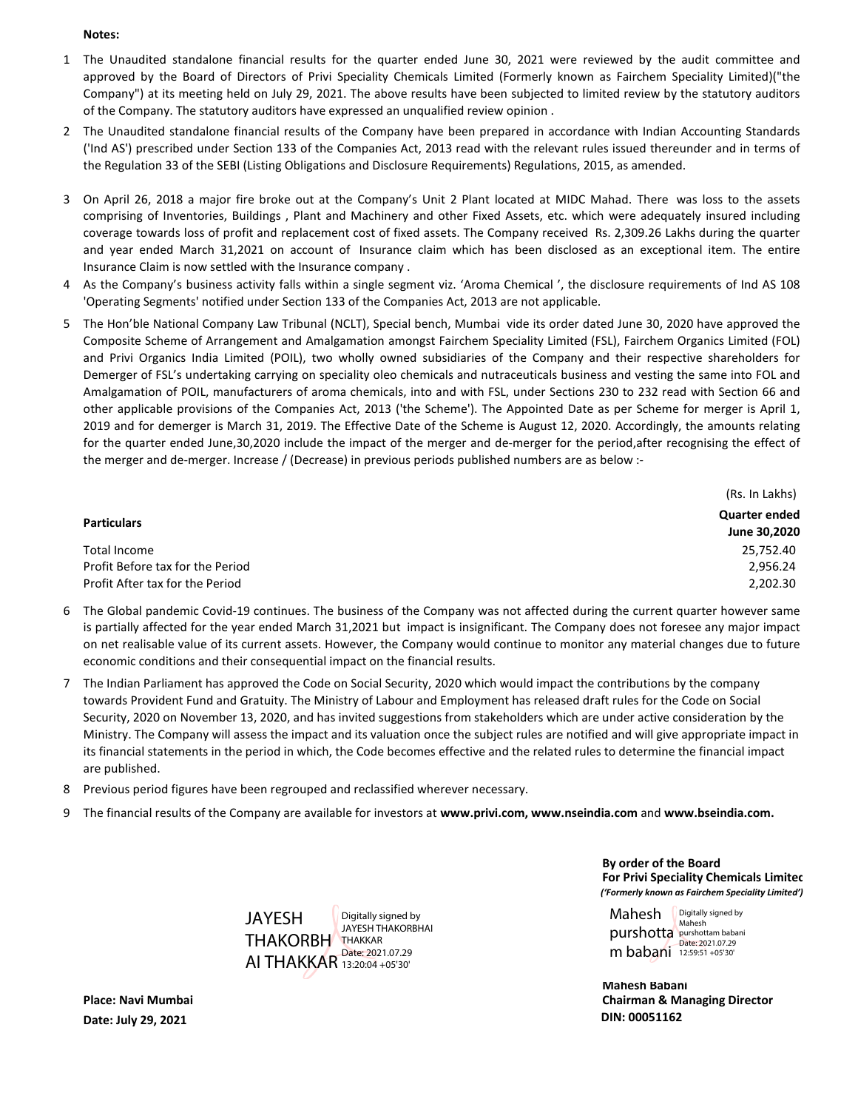#### **Notes:**

- 1 The Unaudited standalone financial results for the quarter ended June 30, 2021 were reviewed by the audit committee and approved by the Board of Directors of Privi Speciality Chemicals Limited (Formerly known as Fairchem Speciality Limited)("the Company") at its meeting held on July 29, 2021. The above results have been subjected to limited review by the statutory auditors of the Company. The statutory auditors have expressed an unqualified review opinion .
- 2 The Unaudited standalone financial results of the Company have been prepared in accordance with Indian Accounting Standards ('Ind AS') prescribed under Section 133 of the Companies Act, 2013 read with the relevant rules issued thereunder and in terms of the Regulation 33 of the SEBI (Listing Obligations and Disclosure Requirements) Regulations, 2015, as amended.
- 3 On April 26, 2018 a major fire broke out at the Company's Unit 2 Plant located at MIDC Mahad. There was loss to the assets comprising of Inventories, Buildings , Plant and Machinery and other Fixed Assets, etc. which were adequately insured including coverage towards loss of profit and replacement cost of fixed assets. The Company received Rs. 2,309.26 Lakhs during the quarter and year ended March 31,2021 on account of Insurance claim which has been disclosed as an exceptional item. The entire Insurance Claim is now settled with the Insurance company .
- 4 As the Company's business activity falls within a single segment viz. 'Aroma Chemical ', the disclosure requirements of Ind AS 108 'Operating Segments' notified under Section 133 of the Companies Act, 2013 are not applicable.
- 5 The Hon'ble National Company Law Tribunal (NCLT), Special bench, Mumbai vide its order dated June 30, 2020 have approved the Composite Scheme of Arrangement and Amalgamation amongst Fairchem Speciality Limited (FSL), Fairchem Organics Limited (FOL) and Privi Organics India Limited (POIL), two wholly owned subsidiaries of the Company and their respective shareholders for Demerger of FSL's undertaking carrying on speciality oleo chemicals and nutraceuticals business and vesting the same into FOL and Amalgamation of POIL, manufacturers of aroma chemicals, into and with FSL, under Sections 230 to 232 read with Section 66 and other applicable provisions of the Companies Act, 2013 ('the Scheme'). The Appointed Date as per Scheme for merger is April 1, 2019 and for demerger is March 31, 2019. The Effective Date of the Scheme is August 12, 2020. Accordingly, the amounts relating for the quarter ended June,30,2020 include the impact of the merger and de-merger for the period,after recognising the effect of the merger and de-merger. Increase / (Decrease) in previous periods published numbers are as below :-

|                                  | (Rs. In Lakhs)       |  |
|----------------------------------|----------------------|--|
| <b>Particulars</b>               | <b>Quarter ended</b> |  |
|                                  | June 30,2020         |  |
| Total Income                     | 25,752.40            |  |
| Profit Before tax for the Period | 2,956.24             |  |
| Profit After tax for the Period  | 2.202.30             |  |

- 6 The Global pandemic Covid-19 continues. The business of the Company was not affected during the current quarter however same is partially affected for the year ended March 31,2021 but impact is insignificant. The Company does not foresee any major impact on net realisable value of its current assets. However, the Company would continue to monitor any material changes due to future economic conditions and their consequential impact on the financial results.
- 7 The Indian Parliament has approved the Code on Social Security, 2020 which would impact the contributions by the company towards Provident Fund and Gratuity. The Ministry of Labour and Employment has released draft rules for the Code on Social Security, 2020 on November 13, 2020, and has invited suggestions from stakeholders which are under active consideration by the Ministry. The Company will assess the impact and its valuation once the subject rules are notified and will give appropriate impact in its financial statements in the period in which, the Code becomes effective and the related rules to determine the financial impact are published.
- 8 Previous period figures have been regrouped and reclassified wherever necessary.
- 9 The financial results of the Company are available for investors at **www.privi.com, www.nseindia.com** and **www.bseindia.com.**

**JAYESH** THAKORBH THAKKAR AI THAKKAR 13:20:04 +05'30'Digitally signed by JAYESH THAKORBHAI Date: 2021.07.29

*('Formerly known as Fairchem Speciality Limited')* **By order of the Board For Privi Speciality Chemicals Limited**

Mahesh purshotta purshottam babani m babani 12:59:51 +05'30' Digitally signed by Mahesh Date: 2021.07.29

**Mahesh Babani Chairman & Managing Director DIN: 00051162**

**Place: Navi Mumbai Date: July 29, 2021**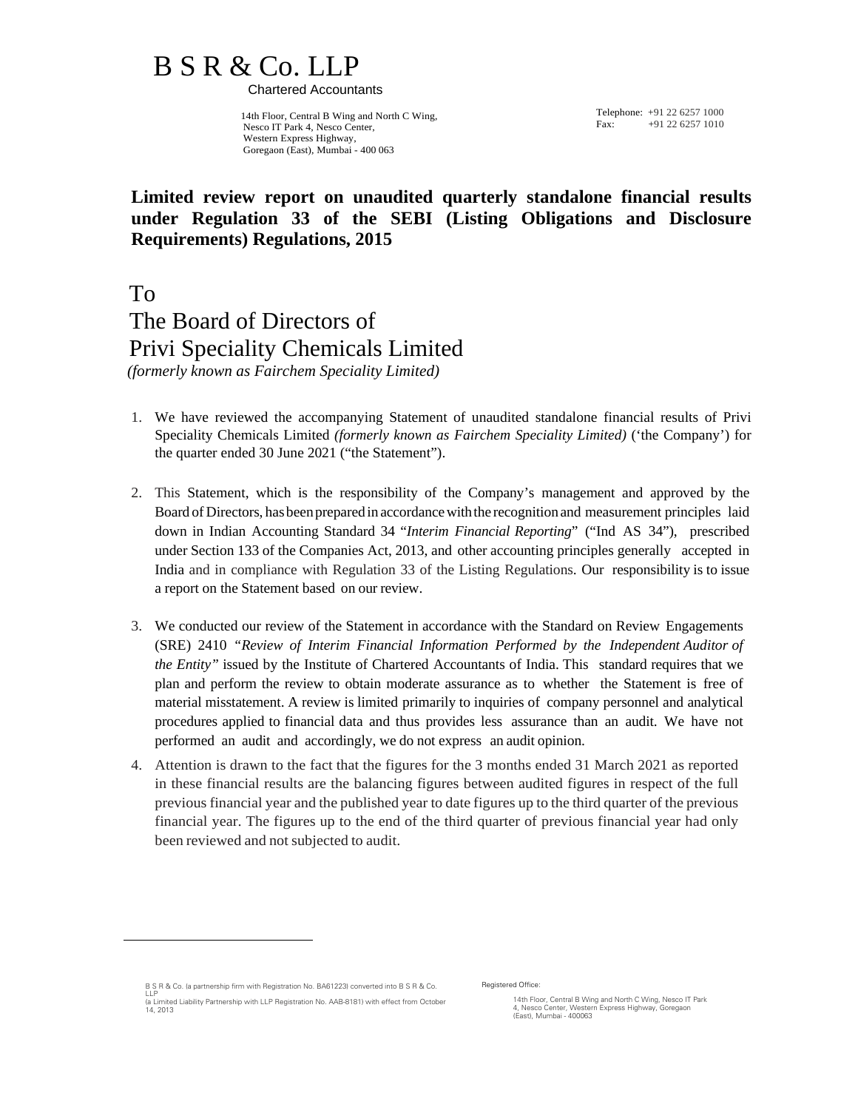# B S R & Co. LLP

Chartered Accountants

 14th Floor, Central B Wing and North C Wing, Nesco IT Park 4, Nesco Center, Western Express Highway, Goregaon (East), Mumbai - 400 063

Telephone: +91 22 6257 1000  $F_{\text{av}}$ :  $+91.22\,6257\,1010$ 

## **Limited review report on unaudited quarterly standalone financial results under Regulation 33 of the SEBI (Listing Obligations and Disclosure Requirements) Regulations, 2015**

 To The Board of Directors of

# Privi Speciality Chemicals Limited

 *(formerly known as Fairchem Speciality Limited)* 

- 1. We have reviewed the accompanying Statement of unaudited standalone financial results of Privi Speciality Chemicals Limited *(formerly known as Fairchem Speciality Limited)* ('the Company') for the quarter ended 30 June 2021 ("the Statement").
- 2. This Statement, which is the responsibility of the Company's management and approved by the Board of Directors, has been prepared in accordance with the recognition and measurement principles laid down in Indian Accounting Standard 34 "*Interim Financial Reporting*" ("Ind AS 34"), prescribed under Section 133 of the Companies Act, 2013, and other accounting principles generally accepted in India and in compliance with Regulation 33 of the Listing Regulations. Our responsibility is to issue a report on the Statement based on our review.
- 3. We conducted our review of the Statement in accordance with the Standard on Review Engagements (SRE) 2410 *"Review of Interim Financial Information Performed by the Independent Auditor of the Entity"* issued by the Institute of Chartered Accountants of India. This standard requires that we plan and perform the review to obtain moderate assurance as to whether the Statement is free of material misstatement. A review is limited primarily to inquiries of company personnel and analytical procedures applied to financial data and thus provides less assurance than an audit. We have not performed an audit and accordingly, we do not express an audit opinion.
- 4. Attention is drawn to the fact that the figures for the 3 months ended 31 March 2021 as reported in these financial results are the balancing figures between audited figures in respect of the full previous financial year and the published year to date figures up to the third quarter of the previous financial year. The figures up to the end of the third quarter of previous financial year had only been reviewed and not subjected to audit.

Registered Office:

14th Floor, Central B Wing and North C Wing, Nesco IT Park 4, Nesco Center, Western Express Highway, Goregaon (East), Mumbai - 400063

B S R & Co. (a partnership firm with Registration No. BA61223) converted into B S R & Co.<br>U P

LLP (a Limited Liability Partnership with LLP Registration No. AAB-8181) with effect from October 14, 2013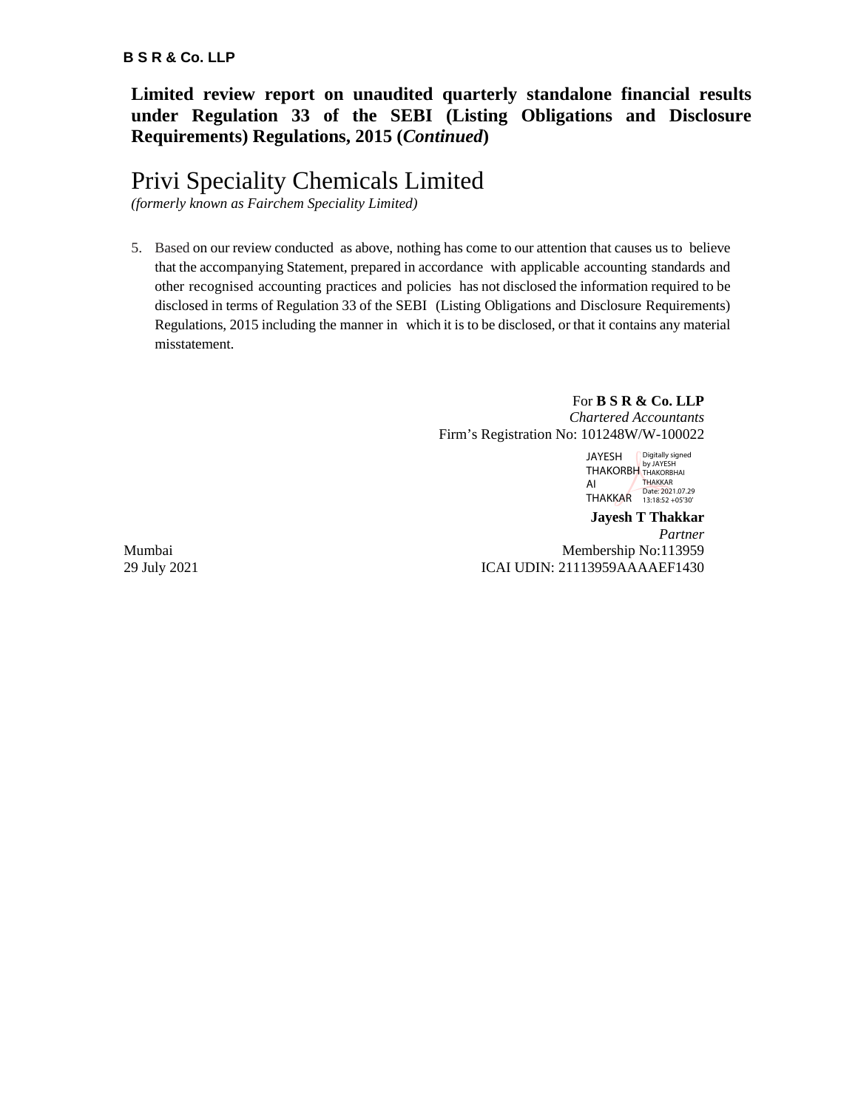**Limited review report on unaudited quarterly standalone financial results under Regulation 33 of the SEBI (Listing Obligations and Disclosure Requirements) Regulations, 2015 (***Continued***)**

## Privi Speciality Chemicals Limited

*(formerly known as Fairchem Speciality Limited)*

5. Based on our review conducted as above, nothing has come to our attention that causes us to believe that the accompanying Statement, prepared in accordance with applicable accounting standards and other recognised accounting practices and policies has not disclosed the information required to be disclosed in terms of Regulation 33 of the SEBI (Listing Obligations and Disclosure Requirements) Regulations, 2015 including the manner in which it is to be disclosed, or that it contains any material misstatement.

#### For **B S R & Co. LLP** *Chartered Accountants* Firm's Registration No: 101248W/W-100022

JAYESH THAKORBH AI THAKKAR Date: 2021.07.29 13:18:52 +05'30'Digitally signed by JAYESH THAKORBHAI THAKKAR

**Jayesh T Thakkar** *Partner* Mumbai Membership No:113959 29 July 2021 ICAI UDIN: 21113959AAAAEF1430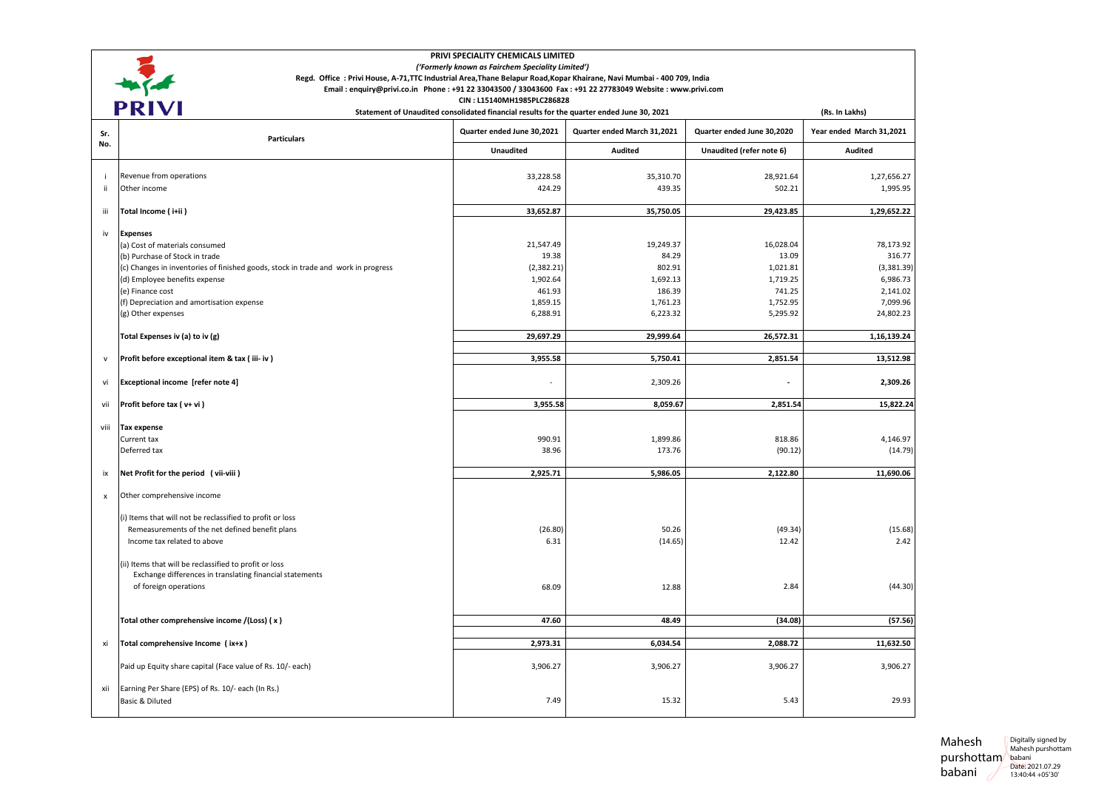|      | PRIVI SPECIALITY CHEMICALS LIMITED                                                                                      |                                                                                           |                             |                            |                          |
|------|-------------------------------------------------------------------------------------------------------------------------|-------------------------------------------------------------------------------------------|-----------------------------|----------------------------|--------------------------|
|      |                                                                                                                         | ('Formerly known as Fairchem Speciality Limited')                                         |                             |                            |                          |
|      | Regd. Office : Privi House, A-71, TTC Industrial Area, Thane Belapur Road, Kopar Khairane, Navi Mumbai - 400 709, India |                                                                                           |                             |                            |                          |
|      | Email: enquiry@privi.co.in Phone: +91 22 33043500 / 33043600 Fax: +91 22 27783049 Website: www.privi.com                | CIN: L15140MH1985PLC286828                                                                |                             |                            |                          |
|      | <b>PRIVI</b>                                                                                                            | Statement of Unaudited consolidated financial results for the quarter ended June 30, 2021 |                             |                            | (Rs. In Lakhs)           |
| Sr.  | <b>Particulars</b>                                                                                                      | Quarter ended June 30,2021                                                                | Quarter ended March 31,2021 | Quarter ended June 30,2020 | Year ended March 31,2021 |
| No.  |                                                                                                                         | Unaudited                                                                                 | Audited                     | Unaudited (refer note 6)   | Audited                  |
|      | Revenue from operations                                                                                                 | 33,228.58                                                                                 | 35,310.70                   | 28,921.64                  | 1,27,656.27              |
| ii   | Other income                                                                                                            | 424.29                                                                                    | 439.35                      | 502.21                     | 1,995.95                 |
|      |                                                                                                                         |                                                                                           |                             |                            |                          |
| iii  | Total Income (i+ii)                                                                                                     | 33,652.87                                                                                 | 35,750.05                   | 29,423.85                  | 1,29,652.22              |
| iv   | <b>Expenses</b>                                                                                                         |                                                                                           |                             |                            |                          |
|      | (a) Cost of materials consumed                                                                                          | 21,547.49                                                                                 | 19,249.37                   | 16,028.04                  | 78,173.92                |
|      | (b) Purchase of Stock in trade                                                                                          | 19.38                                                                                     | 84.29                       | 13.09                      | 316.77                   |
|      | (c) Changes in inventories of finished goods, stock in trade and work in progress                                       | (2, 382.21)                                                                               | 802.91                      | 1,021.81                   | (3,381.39)               |
|      | (d) Employee benefits expense                                                                                           | 1,902.64                                                                                  | 1,692.13                    | 1,719.25                   | 6,986.73                 |
|      | (e) Finance cost                                                                                                        | 461.93                                                                                    | 186.39                      | 741.25                     | 2,141.02                 |
|      | (f) Depreciation and amortisation expense                                                                               | 1,859.15                                                                                  | 1,761.23                    | 1,752.95                   | 7,099.96                 |
|      | (g) Other expenses                                                                                                      | 6,288.91                                                                                  | 6,223.32                    | 5,295.92                   | 24,802.23                |
|      | Total Expenses iv (a) to iv (g)                                                                                         | 29,697.29                                                                                 | 29,999.64                   | 26,572.31                  | 1,16,139.24              |
| v    | Profit before exceptional item & tax (iii-iv)                                                                           | 3,955.58                                                                                  | 5,750.41                    | 2,851.54                   | 13,512.98                |
| vi   | Exceptional income [refer note 4]                                                                                       |                                                                                           | 2,309.26                    |                            | 2,309.26                 |
| vii  | Profit before tax (v+vi)                                                                                                | 3,955.58                                                                                  | 8,059.67                    | 2,851.54                   | 15,822.24                |
| viii | Tax expense                                                                                                             |                                                                                           |                             |                            |                          |
|      | Current tax                                                                                                             | 990.91                                                                                    | 1,899.86                    | 818.86                     | 4,146.97                 |
|      | Deferred tax                                                                                                            | 38.96                                                                                     | 173.76                      | (90.12)                    | (14.79)                  |
| ix   | Net Profit for the period (vii-viii)                                                                                    | 2,925.71                                                                                  | 5,986.05                    | 2,122.80                   | 11,690.06                |
| x    | Other comprehensive income                                                                                              |                                                                                           |                             |                            |                          |
|      |                                                                                                                         |                                                                                           |                             |                            |                          |
|      | (i) Items that will not be reclassified to profit or loss                                                               |                                                                                           |                             |                            |                          |
|      | Remeasurements of the net defined benefit plans                                                                         | (26.80)                                                                                   | 50.26                       | (49.34)                    | (15.68)                  |
|      | Income tax related to above                                                                                             | 6.31                                                                                      | (14.65)                     | 12.42                      | 2.42                     |
|      | (ii) Items that will be reclassified to profit or loss                                                                  |                                                                                           |                             |                            |                          |
|      | Exchange differences in translating financial statements                                                                |                                                                                           |                             |                            |                          |
|      | of foreign operations                                                                                                   | 68.09                                                                                     | 12.88                       | 2.84                       | (44.30)                  |
|      |                                                                                                                         |                                                                                           |                             |                            |                          |
|      | Total other comprehensive income /(Loss) (x)                                                                            | 47.60                                                                                     | 48.49                       | (34.08)                    | (57.56)                  |
|      |                                                                                                                         |                                                                                           |                             |                            |                          |
| xi   | Total comprehensive Income (ix+x)                                                                                       | 2,973.31                                                                                  | 6,034.54                    | 2,088.72                   | 11,632.50                |
|      | Paid up Equity share capital (Face value of Rs. 10/- each)                                                              | 3,906.27                                                                                  | 3,906.27                    | 3,906.27                   | 3,906.27                 |
| xii  | Earning Per Share (EPS) of Rs. 10/- each (In Rs.)                                                                       |                                                                                           |                             |                            |                          |
|      | Basic & Diluted                                                                                                         | 7.49                                                                                      | 15.32                       | 5.43                       | 29.93                    |
|      |                                                                                                                         |                                                                                           |                             |                            |                          |

Mahesh purshottam babani babani Digitally signed by Mahesh purshottam Date: 2021.07.29 13:40:44 +05'30'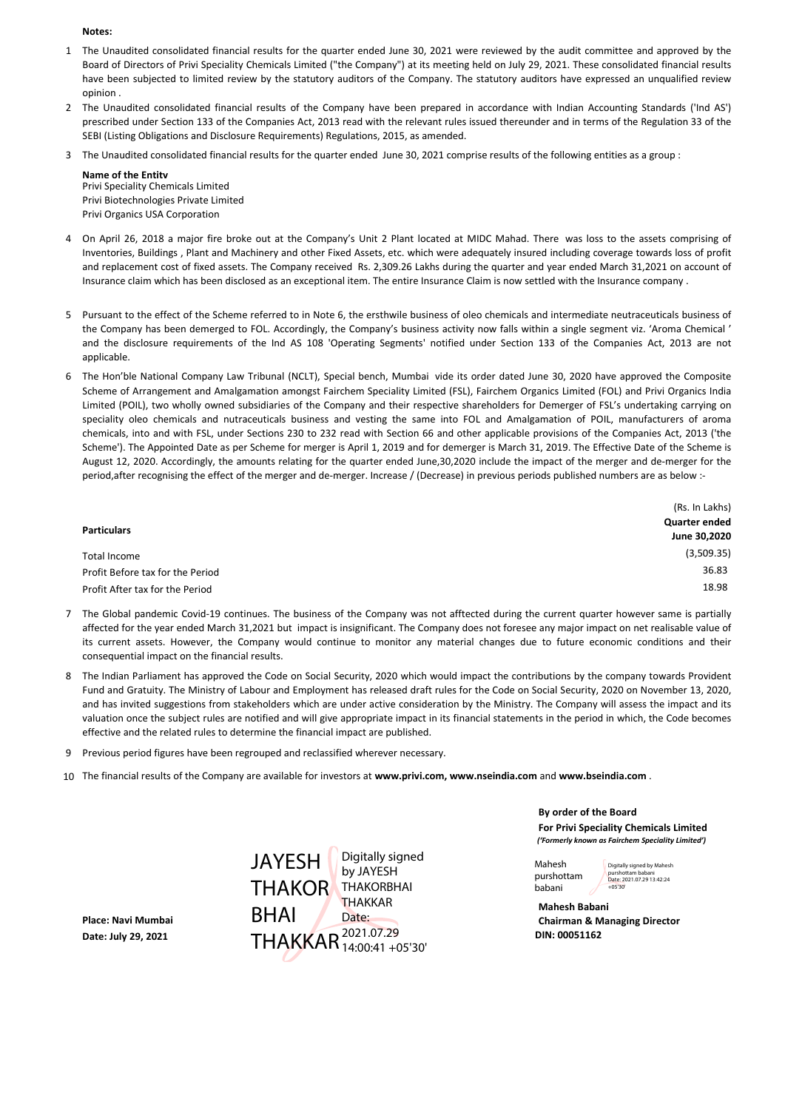#### **Notes:**

- 1 The Unaudited consolidated financial results for the quarter ended June 30, 2021 were reviewed by the audit committee and approved by the Board of Directors of Privi Speciality Chemicals Limited ("the Company") at its meeting held on July 29, 2021. These consolidated financial results have been subjected to limited review by the statutory auditors of the Company. The statutory auditors have expressed an unqualified review opinion .
- 2 The Unaudited consolidated financial results of the Company have been prepared in accordance with Indian Accounting Standards ('Ind AS') prescribed under Section 133 of the Companies Act, 2013 read with the relevant rules issued thereunder and in terms of the Regulation 33 of the SEBI (Listing Obligations and Disclosure Requirements) Regulations, 2015, as amended.
- 3 The Unaudited consolidated financial results for the quarter ended June 30, 2021 comprise results of the following entities as a group :

**Name of the Entity**  Privi Speciality Chemicals Limited Privi Biotechnologies Private Limited Privi Organics USA Corporation

- 4 On April 26, 2018 a major fire broke out at the Company's Unit 2 Plant located at MIDC Mahad. There was loss to the assets comprising of Inventories, Buildings , Plant and Machinery and other Fixed Assets, etc. which were adequately insured including coverage towards loss of profit and replacement cost of fixed assets. The Company received Rs. 2,309.26 Lakhs during the quarter and year ended March 31,2021 on account of Insurance claim which has been disclosed as an exceptional item. The entire Insurance Claim is now settled with the Insurance company .
- 5 Pursuant to the effect of the Scheme referred to in Note 6, the ersthwile business of oleo chemicals and intermediate neutraceuticals business of the Company has been demerged to FOL. Accordingly, the Company's business activity now falls within a single segment viz. 'Aroma Chemical ' and the disclosure requirements of the Ind AS 108 'Operating Segments' notified under Section 133 of the Companies Act, 2013 are not applicable.
- 6 The Hon'ble National Company Law Tribunal (NCLT), Special bench, Mumbai vide its order dated June 30, 2020 have approved the Composite Scheme of Arrangement and Amalgamation amongst Fairchem Speciality Limited (FSL), Fairchem Organics Limited (FOL) and Privi Organics India Limited (POIL), two wholly owned subsidiaries of the Company and their respective shareholders for Demerger of FSL's undertaking carrying on speciality oleo chemicals and nutraceuticals business and vesting the same into FOL and Amalgamation of POIL, manufacturers of aroma chemicals, into and with FSL, under Sections 230 to 232 read with Section 66 and other applicable provisions of the Companies Act, 2013 ('the Scheme'). The Appointed Date as per Scheme for merger is April 1, 2019 and for demerger is March 31, 2019. The Effective Date of the Scheme is August 12, 2020. Accordingly, the amounts relating for the quarter ended June,30,2020 include the impact of the merger and de-merger for the period, after recognising the effect of the merger and de-merger. Increase / (Decrease) in previous periods published numbers are as below :-

|                                  | (Rs. In Lakhs) |
|----------------------------------|----------------|
| <b>Particulars</b>               | Quarter ended  |
|                                  | June 30,2020   |
| Total Income                     | (3,509.35)     |
| Profit Before tax for the Period | 36.83          |
| Profit After tax for the Period  | 18.98          |

- 7 The Global pandemic Covid-19 continues. The business of the Company was not afftected during the current quarter however same is partially affected for the year ended March 31,2021 but impact is insignificant. The Company does not foresee any major impact on net realisable value of its current assets. However, the Company would continue to monitor any material changes due to future economic conditions and their consequential impact on the financial results.
- 8 The Indian Parliament has approved the Code on Social Security, 2020 which would impact the contributions by the company towards Provident Fund and Gratuity. The Ministry of Labour and Employment has released draft rules for the Code on Social Security, 2020 on November 13, 2020, and has invited suggestions from stakeholders which are under active consideration by the Ministry. The Company will assess the impact and its valuation once the subject rules are notified and will give appropriate impact in its financial statements in the period in which, the Code becomes effective and the related rules to determine the financial impact are published.
- 9 Previous period figures have been regrouped and reclassified wherever necessary.
- 10 The financial results of the Company are available for investors at **www.privi.com, www.nseindia.com** and **www.bseindia.com** .

**Place: Navi Mumbai CHAI Chairman & Managing Director Date: July 29, 2021 DIN: 00051162** THAKKAR 2021.07.29 JAYESH | THAKOR THAKORBHAI BHAI Digitally signed by JAYESH **THAKKAR** Date: 14:00:41 +05'30'

**By order of the Board For Privi Speciality Chemicals Limited** *('Formerly known as Fairchem Speciality Limited')*

Mahesh purshottam babani +05'30'

Digitally signed by Mahesh purshottam babani Date: 2021.07.29 13:42:24

**Mahesh Babani**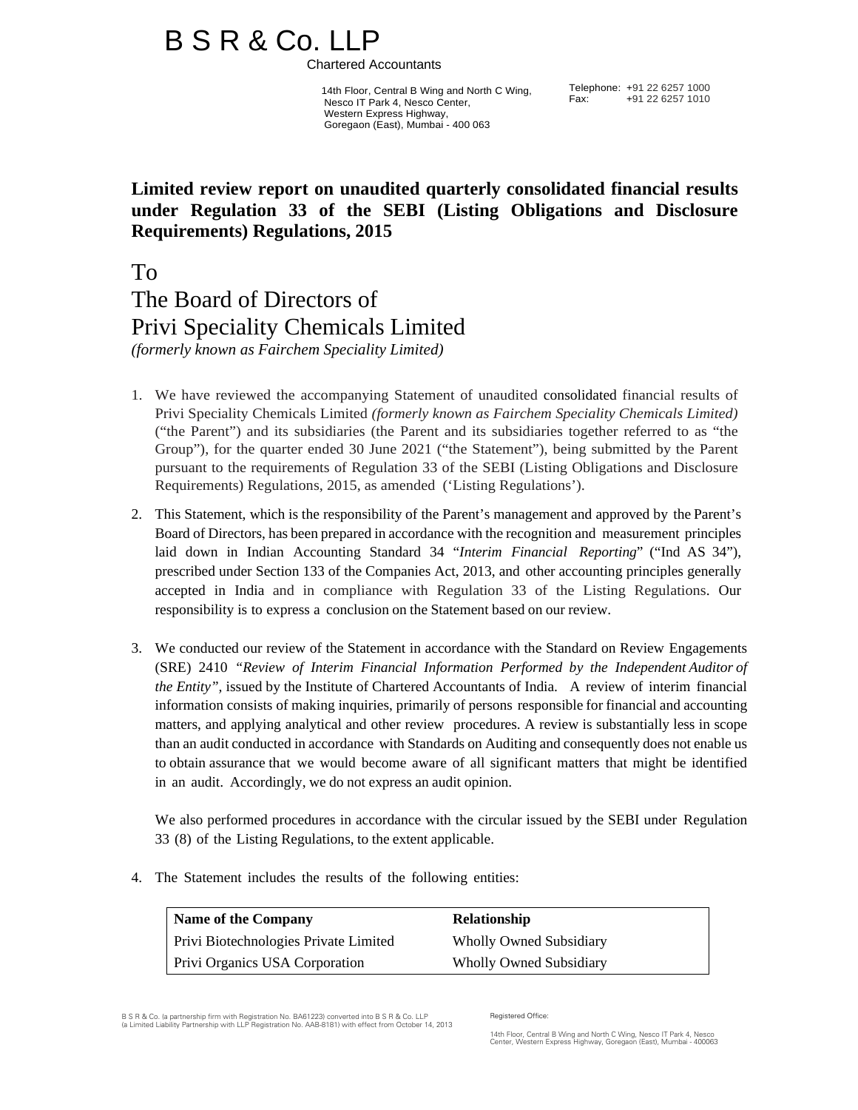# B S R & Co. LLP<br>Chartered Accountants

 14th Floor, Central B Wing and North C Wing, Nesco IT Park 4, Nesco Center, Western Express Highway, Goregaon (East), Mumbai - 400 063

Telephone: +91 22 6257 1000 Fax: +91 22 6257 1010

## **Limited review report on unaudited quarterly consolidated financial results under Regulation 33 of the SEBI (Listing Obligations and Disclosure Requirements) Regulations, 2015**

To

The Board of Directors of Privi Speciality Chemicals Limited *(formerly known as Fairchem Speciality Limited)* 

- 1. We have reviewed the accompanying Statement of unaudited consolidated financial results of Privi Speciality Chemicals Limited *(formerly known as Fairchem Speciality Chemicals Limited)*  ("the Parent") and its subsidiaries (the Parent and its subsidiaries together referred to as "the Group"), for the quarter ended 30 June 2021 ("the Statement"), being submitted by the Parent pursuant to the requirements of Regulation 33 of the SEBI (Listing Obligations and Disclosure Requirements) Regulations, 2015, as amended ('Listing Regulations').
- 2. This Statement, which is the responsibility of the Parent's management and approved by the Parent's Board of Directors, has been prepared in accordance with the recognition and measurement principles laid down in Indian Accounting Standard 34 "*Interim Financial Reporting*" ("Ind AS 34"), prescribed under Section 133 of the Companies Act, 2013, and other accounting principles generally accepted in India and in compliance with Regulation 33 of the Listing Regulations. Our responsibility is to express a conclusion on the Statement based on our review.
- 3. We conducted our review of the Statement in accordance with the Standard on Review Engagements (SRE) 2410 *"Review of Interim Financial Information Performed by the Independent Auditor of the Entity",* issued by the Institute of Chartered Accountants of India. A review of interim financial information consists of making inquiries, primarily of persons responsible for financial and accounting matters, and applying analytical and other review procedures. A review is substantially less in scope than an audit conducted in accordance with Standards on Auditing and consequently does not enable us to obtain assurance that we would become aware of all significant matters that might be identified in an audit. Accordingly, we do not express an audit opinion.

We also performed procedures in accordance with the circular issued by the SEBI under Regulation 33 (8) of the Listing Regulations, to the extent applicable.

4. The Statement includes the results of the following entities:

| Name of the Company                          | <b>Relationship</b>            |
|----------------------------------------------|--------------------------------|
| <b>Privi Biotechnologies Private Limited</b> | <b>Wholly Owned Subsidiary</b> |
| <b>Privi Organics USA Corporation</b>        | <b>Wholly Owned Subsidiary</b> |

B S R & Co. (a partnership firm with Registration No. BA61223) converted into B S R & Co. LLP (a Limited Liability Partnership with LLP Registration No. AAB-8181) with effect from October 14, 2013

Registered Office: